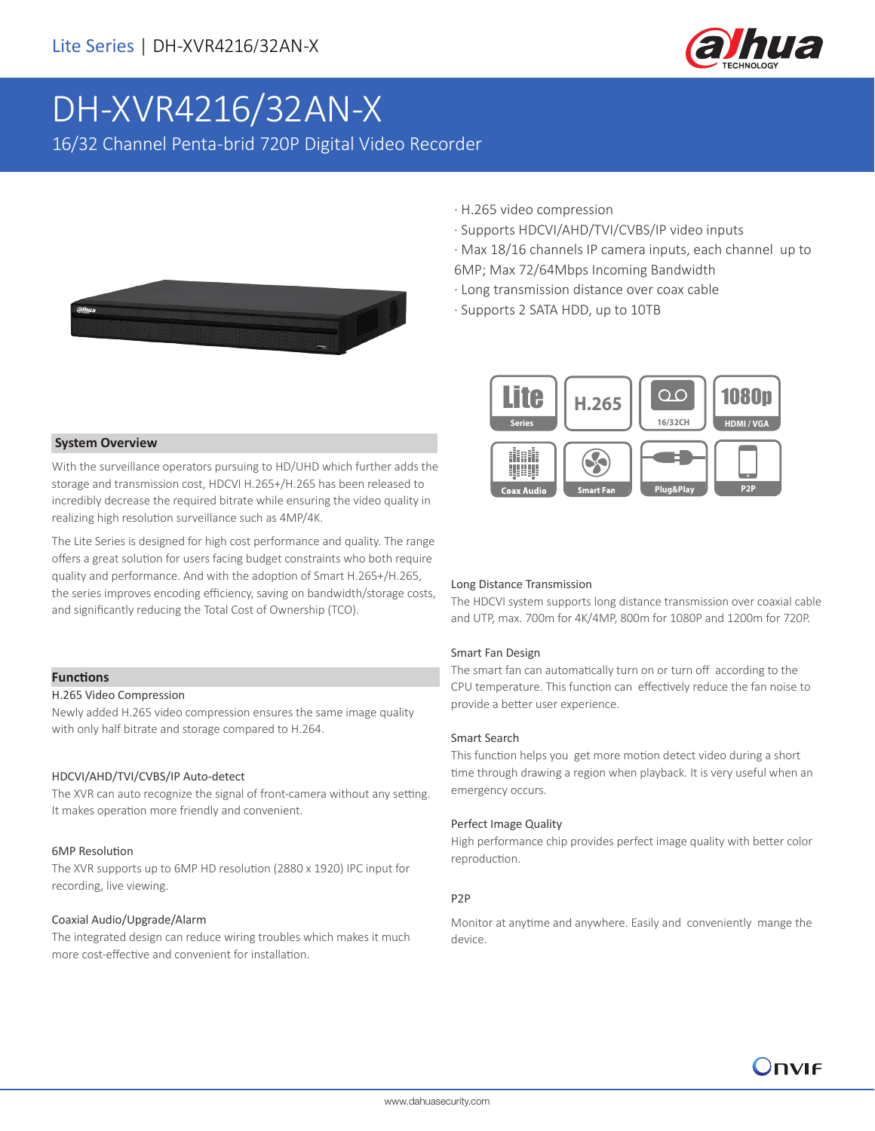

# DH-XVR4216/32AN-X

16/32 Channel Penta-brid 720P Digital Video Recorder

- 
- · H.265 video compression
- · Supports HDCVI/AHD/TVI/CVBS/IP video inputs
- · Max 18/16 channels IP camera inputs, each channel up to
- 6MP; Max 72/64Mbps Incoming Bandwidth
- · Long transmission distance over coax cable
- · Supports 2 SATA HDD, up to 10TB



#### **System Overview**

With the surveillance operators pursuing to HD/UHD which further adds the storage and transmission cost, HDCVI H.265+/H.265 has been released to incredibly decrease the required bitrate while ensuring the video quality in realizing high resolution surveillance such as 4MP/4K.

The Lite Series is designed for high cost performance and quality. The range offers a great solution for users facing budget constraints who both require quality and performance. And with the adoption of Smart H.265+/H.265, the series improves encoding efficiency, saving on bandwidth/storage costs, and significantly reducing the Total Cost of Ownership (TCO).

#### **Functions**

#### H.265 Video Compression

Newly added H.265 video compression ensures the same image quality with only half bitrate and storage compared to H.264.

#### HDCVI/AHD/TVI/CVBS/IP Auto-detect

The XVR can auto recognize the signal of front-camera without any setting. It makes operation more friendly and convenient.

#### 6MP Resolution

The XVR supports up to 6MP HD resolution (2880 x 1920) IPC input for recording, live viewing.

#### Coaxial Audio/Upgrade/Alarm

The integrated design can reduce wiring troubles which makes it much more cost-effective and convenient for installation.

#### Long Distance Transmission

The HDCVI system supports long distance transmission over coaxial cable and UTP, max. 700m for 4K/4MP, 800m for 1080P and 1200m for 720P.

#### Smart Fan Design

The smart fan can automatically turn on or turn off according to the CPU temperature. This function can effectively reduce the fan noise to provide a better user experience.

#### Smart Search

This function helps you get more motion detect video during a short time through drawing a region when playback. It is very useful when an emergency occurs.

#### Perfect Image Quality

High performance chip provides perfect image quality with better color reproduction.

#### P2P

Monitor at anytime and anywhere. Easily and conveniently mange the device.

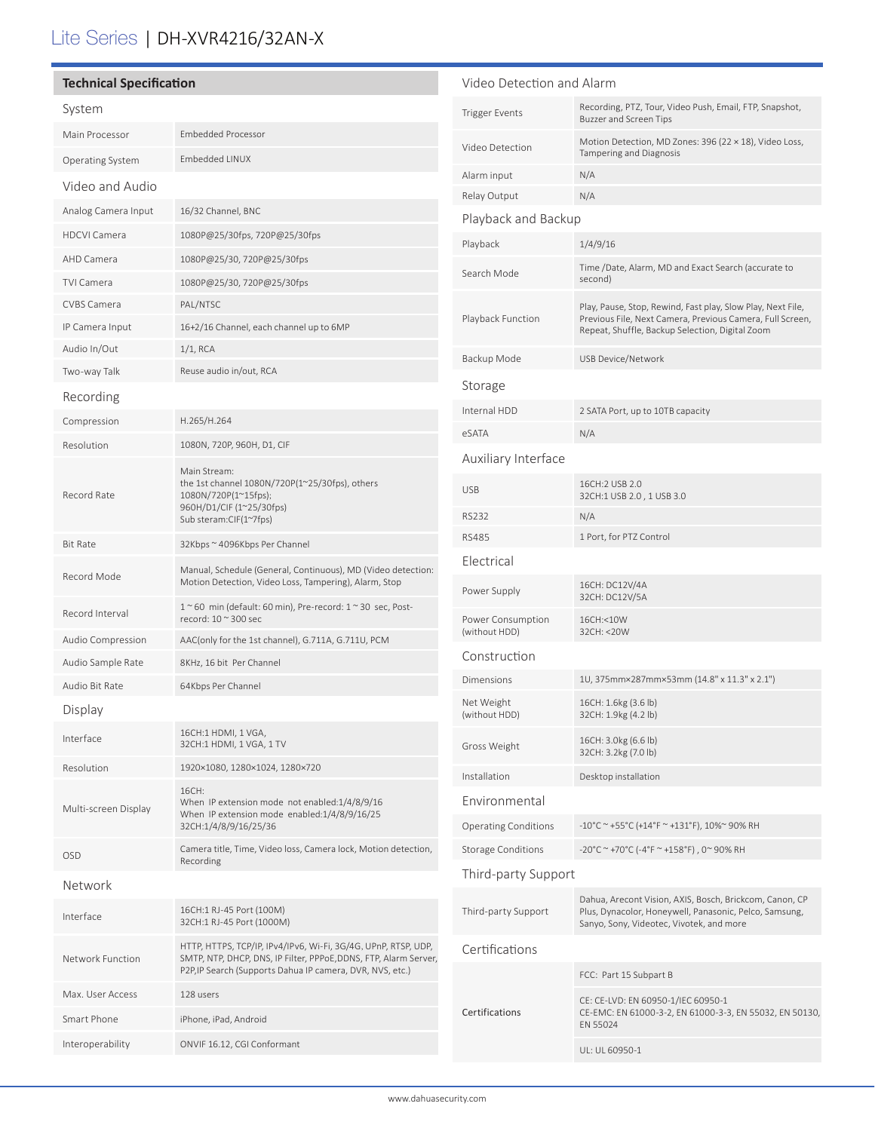## Lite Series | DH-XVR4216/32AN-X

| <b>Technical Specification</b> |                                                                                                                                                                                                 | Video Detection and Alarm          |                                                                                                                                                               |
|--------------------------------|-------------------------------------------------------------------------------------------------------------------------------------------------------------------------------------------------|------------------------------------|---------------------------------------------------------------------------------------------------------------------------------------------------------------|
| System                         |                                                                                                                                                                                                 | <b>Trigger Events</b>              | Recording, PTZ, Tour, Video Push, Email, FTP, Snapshot,<br>Buzzer and Screen Tips                                                                             |
| Main Processor                 | <b>Embedded Processor</b>                                                                                                                                                                       | Video Detection                    | Motion Detection, MD Zones: 396 (22 × 18), Video Loss,<br>Tampering and Diagnosis                                                                             |
| Operating System               | Embedded LINUX                                                                                                                                                                                  | Alarm input                        | N/A                                                                                                                                                           |
| Video and Audio                |                                                                                                                                                                                                 | Relay Output                       | N/A                                                                                                                                                           |
| Analog Camera Input            | 16/32 Channel, BNC                                                                                                                                                                              | Playback and Backup                |                                                                                                                                                               |
| <b>HDCVI Camera</b>            | 1080P@25/30fps, 720P@25/30fps                                                                                                                                                                   |                                    | 1/4/9/16                                                                                                                                                      |
| AHD Camera                     | 1080P@25/30, 720P@25/30fps                                                                                                                                                                      | Playback                           |                                                                                                                                                               |
| <b>TVI Camera</b>              | 1080P@25/30, 720P@25/30fps                                                                                                                                                                      | Search Mode                        | Time /Date, Alarm, MD and Exact Search (accurate to<br>second)                                                                                                |
| <b>CVBS Camera</b>             | PAL/NTSC                                                                                                                                                                                        |                                    | Play, Pause, Stop, Rewind, Fast play, Slow Play, Next File,                                                                                                   |
| IP Camera Input                | 16+2/16 Channel, each channel up to 6MP                                                                                                                                                         | Playback Function                  | Previous File, Next Camera, Previous Camera, Full Screen,<br>Repeat, Shuffle, Backup Selection, Digital Zoom                                                  |
| Audio In/Out                   | $1/1$ , RCA                                                                                                                                                                                     |                                    |                                                                                                                                                               |
| Two-way Talk                   | Reuse audio in/out, RCA                                                                                                                                                                         | Backup Mode                        | USB Device/Network                                                                                                                                            |
| Recording                      |                                                                                                                                                                                                 | Storage                            |                                                                                                                                                               |
| Compression                    | H.265/H.264                                                                                                                                                                                     | Internal HDD                       | 2 SATA Port, up to 10TB capacity                                                                                                                              |
| Resolution                     | 1080N, 720P, 960H, D1, CIF                                                                                                                                                                      | eSATA                              | N/A                                                                                                                                                           |
|                                | Main Stream:<br>the 1st channel 1080N/720P(1~25/30fps), others<br>1080N/720P(1~15fps);<br>960H/D1/CIF (1~25/30fps)<br>Sub steram:CIF(1~7fps)                                                    | Auxiliary Interface                |                                                                                                                                                               |
| Record Rate                    |                                                                                                                                                                                                 | <b>USB</b>                         | 16CH:2 USB 2.0<br>32CH:1 USB 2.0, 1 USB 3.0                                                                                                                   |
|                                |                                                                                                                                                                                                 | <b>RS232</b>                       | N/A                                                                                                                                                           |
| <b>Bit Rate</b>                | 32Kbps ~ 4096Kbps Per Channel                                                                                                                                                                   | <b>RS485</b>                       | 1 Port, for PTZ Control                                                                                                                                       |
|                                | Manual, Schedule (General, Continuous), MD (Video detection:                                                                                                                                    | Electrical                         |                                                                                                                                                               |
| Record Mode                    | Motion Detection, Video Loss, Tampering), Alarm, Stop                                                                                                                                           | Power Supply                       | 16CH: DC12V/4A<br>32CH: DC12V/5A                                                                                                                              |
| Record Interval                | $1~$ ~60 min (default: 60 min), Pre-record: $1~$ ~30 sec, Post-<br>record: 10 ~ 300 sec                                                                                                         | Power Consumption<br>(without HDD) | 16CH:<10W<br>32CH: < 20W                                                                                                                                      |
| Audio Compression              | AAC(only for the 1st channel), G.711A, G.711U, PCM                                                                                                                                              | Construction                       |                                                                                                                                                               |
| Audio Sample Rate              | 8KHz, 16 bit Per Channel                                                                                                                                                                        | Dimensions                         | 1U, 375mm×287mm×53mm (14.8" x 11.3" x 2.1")                                                                                                                   |
| Audio Bit Rate<br>Display      | 64Kbps Per Channel                                                                                                                                                                              | Net Weight<br>(without HDD)        | 16CH: 1.6kg (3.6 lb)<br>32CH: 1.9kg (4.2 lb)                                                                                                                  |
| Interface                      | 16CH:1 HDMI, 1 VGA,                                                                                                                                                                             |                                    |                                                                                                                                                               |
| Resolution                     | 32CH:1 HDMI, 1 VGA, 1 TV<br>1920×1080, 1280×1024, 1280×720                                                                                                                                      | Gross Weight                       | 16CH: 3.0kg (6.6 lb)<br>32CH: 3.2kg (7.0 lb)                                                                                                                  |
|                                |                                                                                                                                                                                                 | Installation                       | Desktop installation                                                                                                                                          |
| Multi-screen Display           | 16CH:<br>When IP extension mode not enabled:1/4/8/9/16<br>When IP extension mode enabled:1/4/8/9/16/25<br>32CH:1/4/8/9/16/25/36                                                                 | Environmental                      |                                                                                                                                                               |
|                                |                                                                                                                                                                                                 | <b>Operating Conditions</b>        | $-10^{\circ}$ C ~ +55°C (+14°F ~ +131°F), 10%~ 90% RH                                                                                                         |
| OSD                            | Camera title, Time, Video loss, Camera lock, Motion detection,<br>Recording                                                                                                                     | <b>Storage Conditions</b>          | -20°C ~ +70°C (-4°F ~ +158°F), 0~90% RH                                                                                                                       |
| Network                        |                                                                                                                                                                                                 | Third-party Support                |                                                                                                                                                               |
| Interface                      | 16CH:1 RJ-45 Port (100M)<br>32CH:1 RJ-45 Port (1000M)                                                                                                                                           | Third-party Support                | Dahua, Arecont Vision, AXIS, Bosch, Brickcom, Canon, CP<br>Plus, Dynacolor, Honeywell, Panasonic, Pelco, Samsung,<br>Sanyo, Sony, Videotec, Vivotek, and more |
| Network Function               | HTTP, HTTPS, TCP/IP, IPv4/IPv6, Wi-Fi, 3G/4G, UPnP, RTSP, UDP,<br>SMTP, NTP, DHCP, DNS, IP Filter, PPPoE, DDNS, FTP, Alarm Server,<br>P2P, IP Search (Supports Dahua IP camera, DVR, NVS, etc.) | Certifications                     | FCC: Part 15 Subpart B                                                                                                                                        |
| Max. User Access               | 128 users                                                                                                                                                                                       |                                    |                                                                                                                                                               |
| Smart Phone                    | iPhone, iPad, Android                                                                                                                                                                           | Certifications                     | CE: CE-LVD: EN 60950-1/IEC 60950-1<br>CE-EMC: EN 61000-3-2, EN 61000-3-3, EN 55032, EN 50130,<br>EN 55024                                                     |
| Interoperability               | ONVIF 16.12, CGI Conformant                                                                                                                                                                     |                                    |                                                                                                                                                               |
|                                |                                                                                                                                                                                                 |                                    | UL: UL 60950-1                                                                                                                                                |